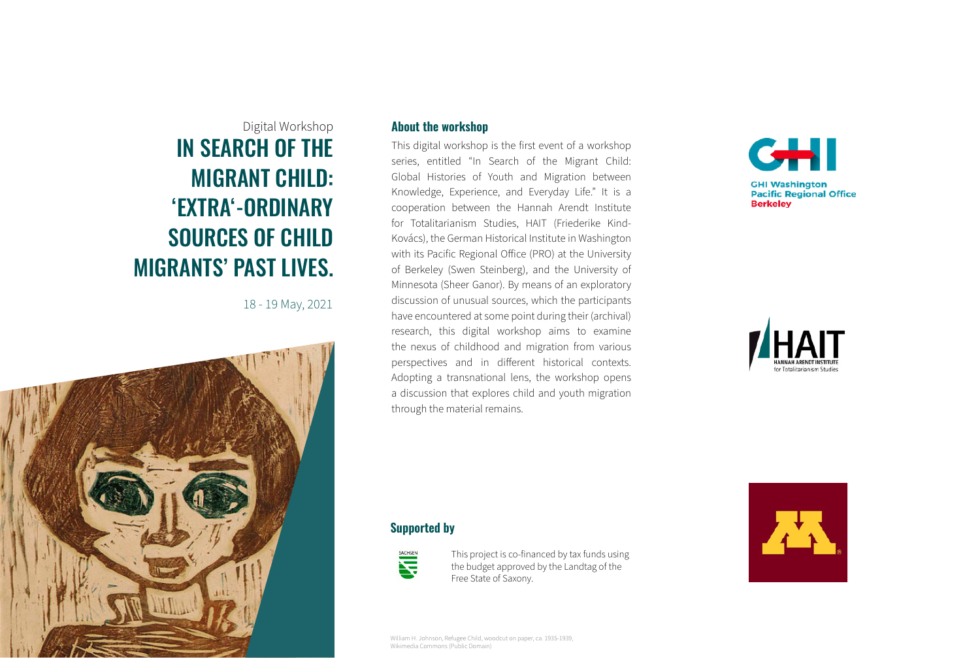# IN SEARCH OF THE MIGRANT CHILD: 'EXTRA'-ORDINARY SOURCES OF CHILD MIGRANTS' PAST LIVES. Digital Workshop

18 - 19 May, 2021



#### **About the workshop**

This digital workshop is the first event of a workshop series, entitled "In Search of the Migrant Child: Global Histories of Youth and Migration between Knowledge, Experience, and Everyday Life." It is a cooperation between the Hannah Arendt Institute for Totalitarianism Studies, HAIT (Friederike Kind-Kovács), the German Historical Institute in Washington with its Pacific Regional Office (PRO) at the University of Berkeley (Swen Steinberg), and the University of Minnesota (Sheer Ganor). By means of an exploratory discussion of unusual sources, which the participants have encountered at some point during their (archival) research, this digital workshop aims to examine the nexus of childhood and migration from various perspectives and in different historical contexts. Adopting a transnational lens, the workshop opens a discussion that explores child and youth migration through the material remains.





#### **Supported by**



This project is co-financed by tax funds using the budget approved by the Landtag of the Free State of Saxony.



William H. Johnson, Refugee Child, woodcut on paper, ca. 1935-1939, Wikimedia Commons (Public Domain)